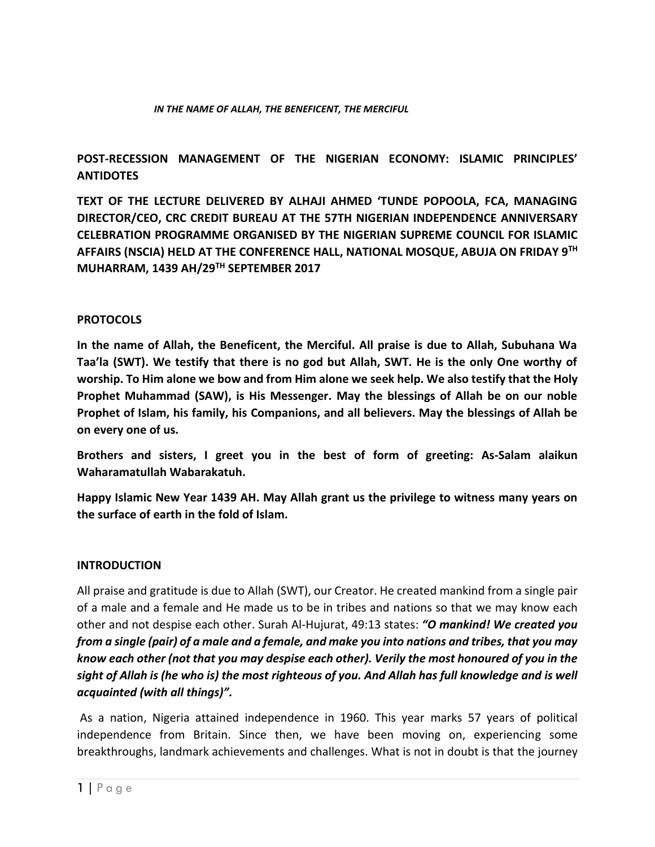#### *IN THE NAME OF ALLAH, THE BENEFICENT, THE MERCIFUL*

## **POST-RECESSION MANAGEMENT OF THE NIGERIAN ECONOMY: ISLAMIC PRINCIPLES' ANTIDOTES**

**TEXT OF THE LECTURE DELIVERED BY ALHAJI AHMED 'TUNDE POPOOLA, FCA, MANAGING DIRECTOR/CEO, CRC CREDIT BUREAU AT THE 57TH NIGERIAN INDEPENDENCE ANNIVERSARY CELEBRATION PROGRAMME ORGANISED BY THE NIGERIAN SUPREME COUNCIL FOR ISLAMIC AFFAIRS (NSCIA) HELD AT THE CONFERENCE HALL, NATIONAL MOSQUE, ABUJA ON FRIDAY 9TH MUHARRAM, 1439 AH/29TH SEPTEMBER 2017**

#### **PROTOCOLS**

**In the name of Allah, the Beneficent, the Merciful. All praise is due to Allah, Subuhana Wa Taa'la (SWT). We testify that there is no god but Allah, SWT. He is the only One worthy of worship. To Him alone we bow and from Him alone we seek help. We also testify that the Holy Prophet Muhammad (SAW), is His Messenger. May the blessings of Allah be on our noble Prophet of Islam, his family, his Companions, and all believers. May the blessings of Allah be on every one of us.** 

**Brothers and sisters, I greet you in the best of form of greeting: As-Salam alaikun Waharamatullah Wabarakatuh.**

**Happy Islamic New Year 1439 AH. May Allah grant us the privilege to witness many years on the surface of earth in the fold of Islam.**

#### **INTRODUCTION**

All praise and gratitude is due to Allah (SWT), our Creator. He created mankind from a single pair of a male and a female and He made us to be in tribes and nations so that we may know each other and not despise each other. Surah Al-Hujurat, 49:13 states: *"O mankind! We created you from a single (pair) of a male and a female, and make you into nations and tribes, that you may know each other (not that you may despise each other). Verily the most honoured of you in the sight of Allah is (he who is) the most righteous of you. And Allah has full knowledge and is well acquainted (with all things)".*

As a nation, Nigeria attained independence in 1960. This year marks 57 years of political independence from Britain. Since then, we have been moving on, experiencing some breakthroughs, landmark achievements and challenges. What is not in doubt is that the journey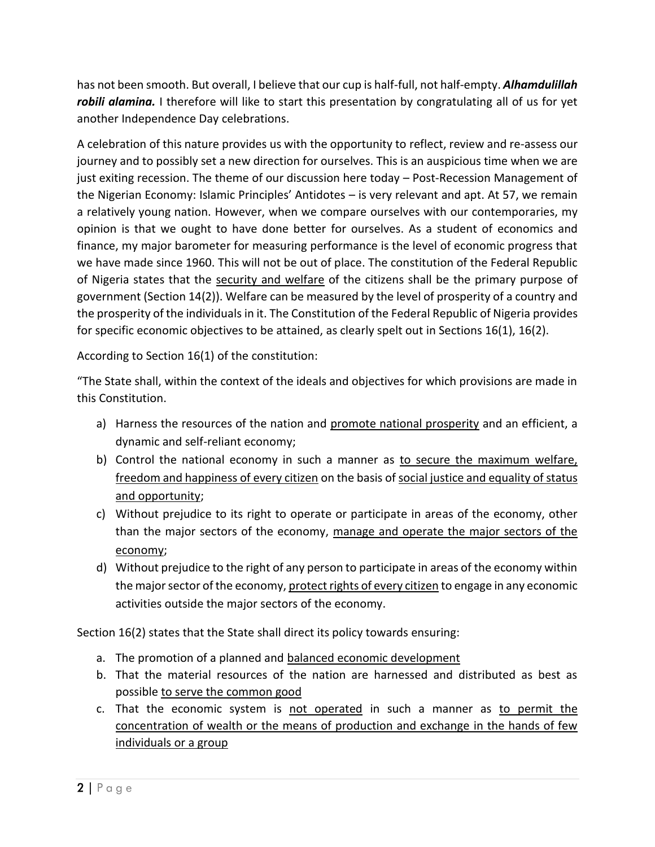has not been smooth. But overall, I believe that our cup is half-full, not half-empty. *Alhamdulillah robili alamina.* I therefore will like to start this presentation by congratulating all of us for yet another Independence Day celebrations.

A celebration of this nature provides us with the opportunity to reflect, review and re-assess our journey and to possibly set a new direction for ourselves. This is an auspicious time when we are just exiting recession. The theme of our discussion here today – Post-Recession Management of the Nigerian Economy: Islamic Principles' Antidotes – is very relevant and apt. At 57, we remain a relatively young nation. However, when we compare ourselves with our contemporaries, my opinion is that we ought to have done better for ourselves. As a student of economics and finance, my major barometer for measuring performance is the level of economic progress that we have made since 1960. This will not be out of place. The constitution of the Federal Republic of Nigeria states that the security and welfare of the citizens shall be the primary purpose of government (Section 14(2)). Welfare can be measured by the level of prosperity of a country and the prosperity of the individuals in it. The Constitution of the Federal Republic of Nigeria provides for specific economic objectives to be attained, as clearly spelt out in Sections 16(1), 16(2).

According to Section 16(1) of the constitution:

"The State shall, within the context of the ideals and objectives for which provisions are made in this Constitution.

- a) Harness the resources of the nation and promote national prosperity and an efficient, a dynamic and self-reliant economy;
- b) Control the national economy in such a manner as to secure the maximum welfare, freedom and happiness of every citizen on the basis of social justice and equality of status and opportunity;
- c) Without prejudice to its right to operate or participate in areas of the economy, other than the major sectors of the economy, manage and operate the major sectors of the economy;
- d) Without prejudice to the right of any person to participate in areas of the economy within the major sector of the economy, protect rights of every citizen to engage in any economic activities outside the major sectors of the economy.

Section 16(2) states that the State shall direct its policy towards ensuring:

- a. The promotion of a planned and balanced economic development
- b. That the material resources of the nation are harnessed and distributed as best as possible to serve the common good
- c. That the economic system is not operated in such a manner as to permit the concentration of wealth or the means of production and exchange in the hands of few individuals or a group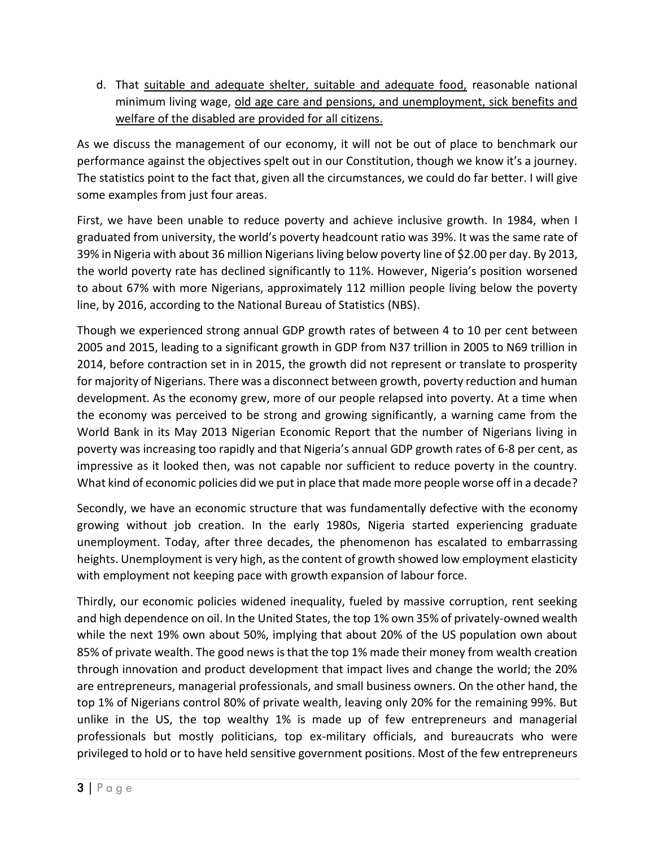d. That suitable and adequate shelter, suitable and adequate food, reasonable national minimum living wage, old age care and pensions, and unemployment, sick benefits and welfare of the disabled are provided for all citizens.

As we discuss the management of our economy, it will not be out of place to benchmark our performance against the objectives spelt out in our Constitution, though we know it's a journey. The statistics point to the fact that, given all the circumstances, we could do far better. I will give some examples from just four areas.

First, we have been unable to reduce poverty and achieve inclusive growth. In 1984, when I graduated from university, the world's poverty headcount ratio was 39%. It was the same rate of 39% in Nigeria with about 36 million Nigerians living below poverty line of \$2.00 per day. By 2013, the world poverty rate has declined significantly to 11%. However, Nigeria's position worsened to about 67% with more Nigerians, approximately 112 million people living below the poverty line, by 2016, according to the National Bureau of Statistics (NBS).

Though we experienced strong annual GDP growth rates of between 4 to 10 per cent between 2005 and 2015, leading to a significant growth in GDP from N37 trillion in 2005 to N69 trillion in 2014, before contraction set in in 2015, the growth did not represent or translate to prosperity for majority of Nigerians. There was a disconnect between growth, poverty reduction and human development. As the economy grew, more of our people relapsed into poverty. At a time when the economy was perceived to be strong and growing significantly, a warning came from the World Bank in its May 2013 Nigerian Economic Report that the number of Nigerians living in poverty was increasing too rapidly and that Nigeria's annual GDP growth rates of 6-8 per cent, as impressive as it looked then, was not capable nor sufficient to reduce poverty in the country. What kind of economic policies did we put in place that made more people worse off in a decade?

Secondly, we have an economic structure that was fundamentally defective with the economy growing without job creation. In the early 1980s, Nigeria started experiencing graduate unemployment. Today, after three decades, the phenomenon has escalated to embarrassing heights. Unemployment is very high, as the content of growth showed low employment elasticity with employment not keeping pace with growth expansion of labour force.

Thirdly, our economic policies widened inequality, fueled by massive corruption, rent seeking and high dependence on oil. In the United States, the top 1% own 35% of privately-owned wealth while the next 19% own about 50%, implying that about 20% of the US population own about 85% of private wealth. The good news is that the top 1% made their money from wealth creation through innovation and product development that impact lives and change the world; the 20% are entrepreneurs, managerial professionals, and small business owners. On the other hand, the top 1% of Nigerians control 80% of private wealth, leaving only 20% for the remaining 99%. But unlike in the US, the top wealthy 1% is made up of few entrepreneurs and managerial professionals but mostly politicians, top ex-military officials, and bureaucrats who were privileged to hold or to have held sensitive government positions. Most of the few entrepreneurs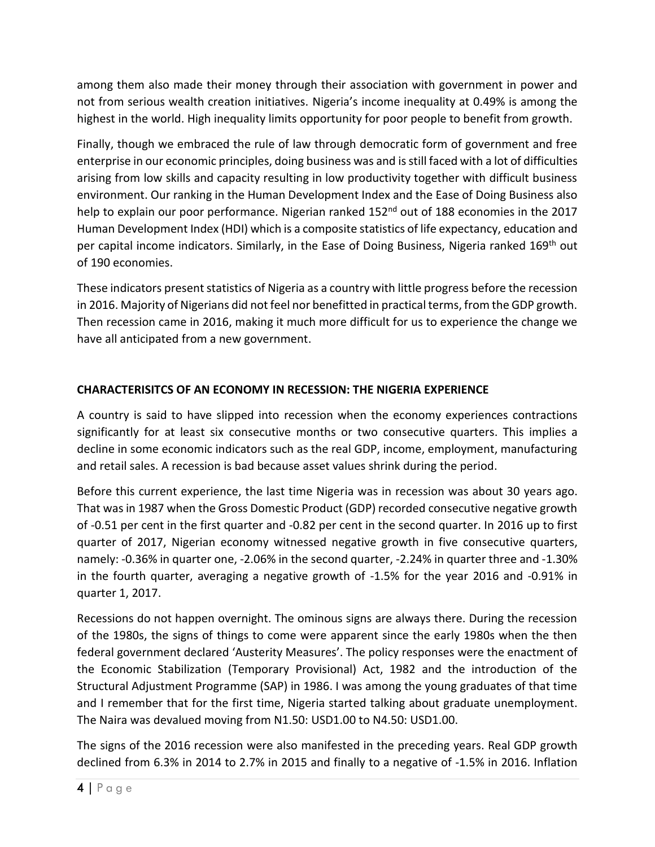among them also made their money through their association with government in power and not from serious wealth creation initiatives. Nigeria's income inequality at 0.49% is among the highest in the world. High inequality limits opportunity for poor people to benefit from growth.

Finally, though we embraced the rule of law through democratic form of government and free enterprise in our economic principles, doing business was and isstill faced with a lot of difficulties arising from low skills and capacity resulting in low productivity together with difficult business environment. Our ranking in the Human Development Index and the Ease of Doing Business also help to explain our poor performance. Nigerian ranked 152<sup>nd</sup> out of 188 economies in the 2017 Human Development Index (HDI) which is a composite statistics of life expectancy, education and per capital income indicators. Similarly, in the Ease of Doing Business, Nigeria ranked 169<sup>th</sup> out of 190 economies.

These indicators present statistics of Nigeria as a country with little progress before the recession in 2016. Majority of Nigerians did not feel nor benefitted in practical terms, from the GDP growth. Then recession came in 2016, making it much more difficult for us to experience the change we have all anticipated from a new government.

## **CHARACTERISITCS OF AN ECONOMY IN RECESSION: THE NIGERIA EXPERIENCE**

A country is said to have slipped into recession when the economy experiences contractions significantly for at least six consecutive months or two consecutive quarters. This implies a decline in some economic indicators such as the real GDP, income, employment, manufacturing and retail sales. A recession is bad because asset values shrink during the period.

Before this current experience, the last time Nigeria was in recession was about 30 years ago. That was in 1987 when the Gross Domestic Product (GDP) recorded consecutive negative growth of -0.51 per cent in the first quarter and -0.82 per cent in the second quarter. In 2016 up to first quarter of 2017, Nigerian economy witnessed negative growth in five consecutive quarters, namely: -0.36% in quarter one, -2.06% in the second quarter, -2.24% in quarter three and -1.30% in the fourth quarter, averaging a negative growth of -1.5% for the year 2016 and -0.91% in quarter 1, 2017.

Recessions do not happen overnight. The ominous signs are always there. During the recession of the 1980s, the signs of things to come were apparent since the early 1980s when the then federal government declared 'Austerity Measures'. The policy responses were the enactment of the Economic Stabilization (Temporary Provisional) Act, 1982 and the introduction of the Structural Adjustment Programme (SAP) in 1986. I was among the young graduates of that time and I remember that for the first time, Nigeria started talking about graduate unemployment. The Naira was devalued moving from N1.50: USD1.00 to N4.50: USD1.00.

The signs of the 2016 recession were also manifested in the preceding years. Real GDP growth declined from 6.3% in 2014 to 2.7% in 2015 and finally to a negative of -1.5% in 2016. Inflation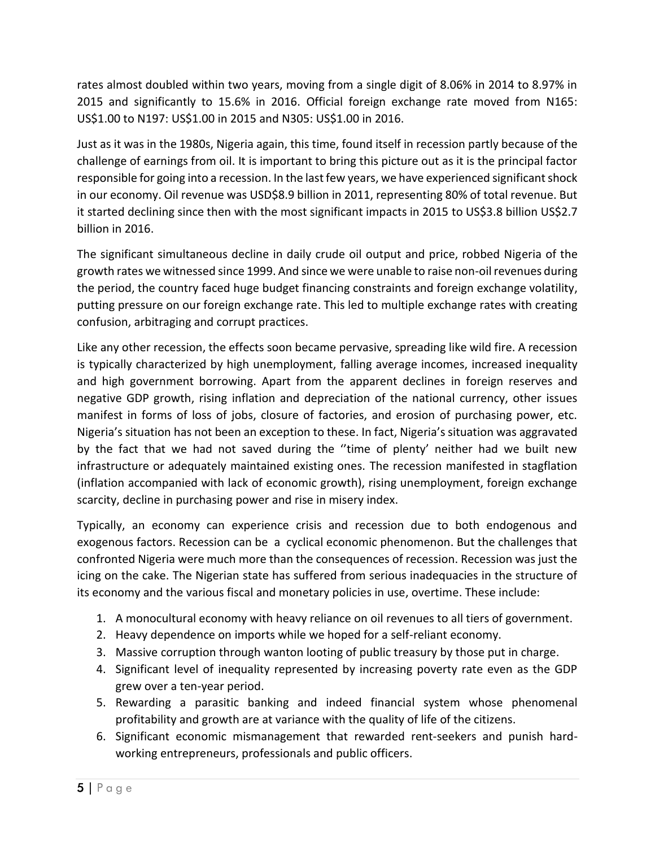rates almost doubled within two years, moving from a single digit of 8.06% in 2014 to 8.97% in 2015 and significantly to 15.6% in 2016. Official foreign exchange rate moved from N165: US\$1.00 to N197: US\$1.00 in 2015 and N305: US\$1.00 in 2016.

Just as it was in the 1980s, Nigeria again, this time, found itself in recession partly because of the challenge of earnings from oil. It is important to bring this picture out as it is the principal factor responsible for going into a recession. In the last few years, we have experienced significant shock in our economy. Oil revenue was USD\$8.9 billion in 2011, representing 80% of total revenue. But it started declining since then with the most significant impacts in 2015 to US\$3.8 billion US\$2.7 billion in 2016.

The significant simultaneous decline in daily crude oil output and price, robbed Nigeria of the growth rates we witnessed since 1999. And since we were unable to raise non-oil revenues during the period, the country faced huge budget financing constraints and foreign exchange volatility, putting pressure on our foreign exchange rate. This led to multiple exchange rates with creating confusion, arbitraging and corrupt practices.

Like any other recession, the effects soon became pervasive, spreading like wild fire. A recession is typically characterized by high unemployment, falling average incomes, increased inequality and high government borrowing. Apart from the apparent declines in foreign reserves and negative GDP growth, rising inflation and depreciation of the national currency, other issues manifest in forms of loss of jobs, closure of factories, and erosion of purchasing power, etc. Nigeria's situation has not been an exception to these. In fact, Nigeria's situation was aggravated by the fact that we had not saved during the ''time of plenty' neither had we built new infrastructure or adequately maintained existing ones. The recession manifested in stagflation (inflation accompanied with lack of economic growth), rising unemployment, foreign exchange scarcity, decline in purchasing power and rise in misery index.

Typically, an economy can experience crisis and recession due to both endogenous and exogenous factors. Recession can be a cyclical economic phenomenon. But the challenges that confronted Nigeria were much more than the consequences of recession. Recession was just the icing on the cake. The Nigerian state has suffered from serious inadequacies in the structure of its economy and the various fiscal and monetary policies in use, overtime. These include:

- 1. A monocultural economy with heavy reliance on oil revenues to all tiers of government.
- 2. Heavy dependence on imports while we hoped for a self-reliant economy.
- 3. Massive corruption through wanton looting of public treasury by those put in charge.
- 4. Significant level of inequality represented by increasing poverty rate even as the GDP grew over a ten-year period.
- 5. Rewarding a parasitic banking and indeed financial system whose phenomenal profitability and growth are at variance with the quality of life of the citizens.
- 6. Significant economic mismanagement that rewarded rent-seekers and punish hardworking entrepreneurs, professionals and public officers.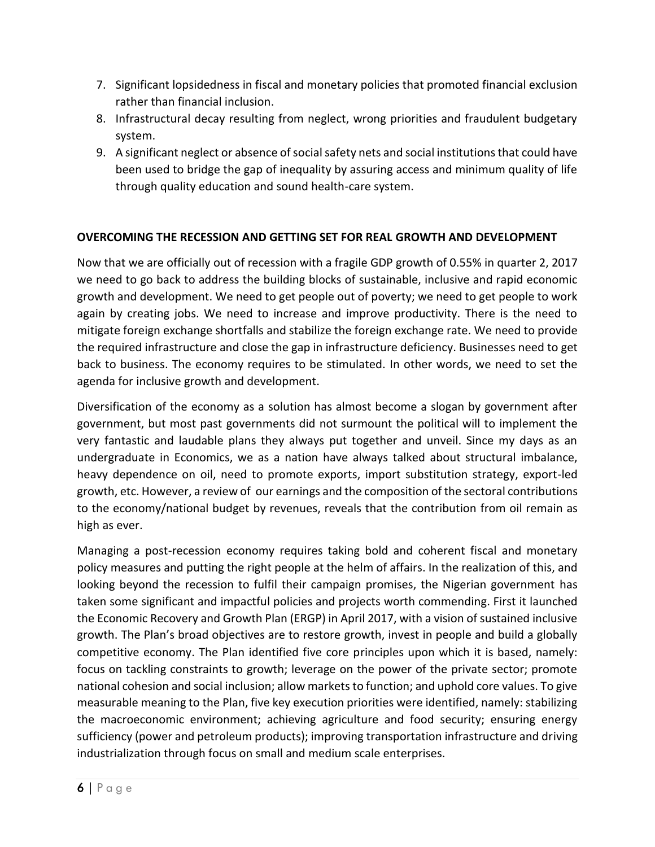- 7. Significant lopsidedness in fiscal and monetary policies that promoted financial exclusion rather than financial inclusion.
- 8. Infrastructural decay resulting from neglect, wrong priorities and fraudulent budgetary system.
- 9. A significant neglect or absence of social safety nets and social institutions that could have been used to bridge the gap of inequality by assuring access and minimum quality of life through quality education and sound health-care system.

### **OVERCOMING THE RECESSION AND GETTING SET FOR REAL GROWTH AND DEVELOPMENT**

Now that we are officially out of recession with a fragile GDP growth of 0.55% in quarter 2, 2017 we need to go back to address the building blocks of sustainable, inclusive and rapid economic growth and development. We need to get people out of poverty; we need to get people to work again by creating jobs. We need to increase and improve productivity. There is the need to mitigate foreign exchange shortfalls and stabilize the foreign exchange rate. We need to provide the required infrastructure and close the gap in infrastructure deficiency. Businesses need to get back to business. The economy requires to be stimulated. In other words, we need to set the agenda for inclusive growth and development.

Diversification of the economy as a solution has almost become a slogan by government after government, but most past governments did not surmount the political will to implement the very fantastic and laudable plans they always put together and unveil. Since my days as an undergraduate in Economics, we as a nation have always talked about structural imbalance, heavy dependence on oil, need to promote exports, import substitution strategy, export-led growth, etc. However, a review of our earnings and the composition of the sectoral contributions to the economy/national budget by revenues, reveals that the contribution from oil remain as high as ever.

Managing a post-recession economy requires taking bold and coherent fiscal and monetary policy measures and putting the right people at the helm of affairs. In the realization of this, and looking beyond the recession to fulfil their campaign promises, the Nigerian government has taken some significant and impactful policies and projects worth commending. First it launched the Economic Recovery and Growth Plan (ERGP) in April 2017, with a vision of sustained inclusive growth. The Plan's broad objectives are to restore growth, invest in people and build a globally competitive economy. The Plan identified five core principles upon which it is based, namely: focus on tackling constraints to growth; leverage on the power of the private sector; promote national cohesion and social inclusion; allow markets to function; and uphold core values. To give measurable meaning to the Plan, five key execution priorities were identified, namely: stabilizing the macroeconomic environment; achieving agriculture and food security; ensuring energy sufficiency (power and petroleum products); improving transportation infrastructure and driving industrialization through focus on small and medium scale enterprises.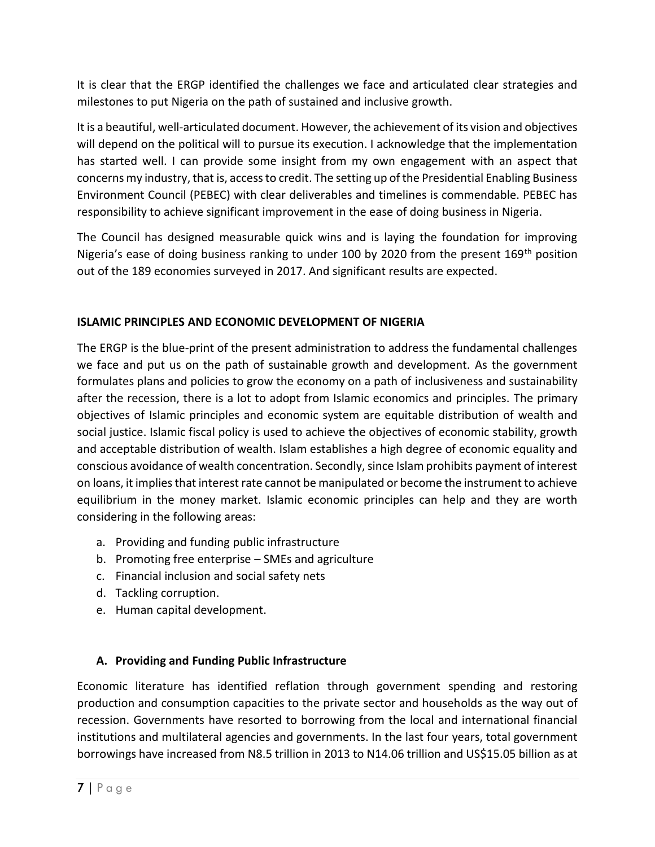It is clear that the ERGP identified the challenges we face and articulated clear strategies and milestones to put Nigeria on the path of sustained and inclusive growth.

It is a beautiful, well-articulated document. However, the achievement of its vision and objectives will depend on the political will to pursue its execution. I acknowledge that the implementation has started well. I can provide some insight from my own engagement with an aspect that concerns my industry, that is, access to credit. The setting up of the Presidential Enabling Business Environment Council (PEBEC) with clear deliverables and timelines is commendable. PEBEC has responsibility to achieve significant improvement in the ease of doing business in Nigeria.

The Council has designed measurable quick wins and is laying the foundation for improving Nigeria's ease of doing business ranking to under 100 by 2020 from the present 169<sup>th</sup> position out of the 189 economies surveyed in 2017. And significant results are expected.

### **ISLAMIC PRINCIPLES AND ECONOMIC DEVELOPMENT OF NIGERIA**

The ERGP is the blue-print of the present administration to address the fundamental challenges we face and put us on the path of sustainable growth and development. As the government formulates plans and policies to grow the economy on a path of inclusiveness and sustainability after the recession, there is a lot to adopt from Islamic economics and principles. The primary objectives of Islamic principles and economic system are equitable distribution of wealth and social justice. Islamic fiscal policy is used to achieve the objectives of economic stability, growth and acceptable distribution of wealth. Islam establishes a high degree of economic equality and conscious avoidance of wealth concentration. Secondly, since Islam prohibits payment of interest on loans, it implies that interest rate cannot be manipulated or become the instrument to achieve equilibrium in the money market. Islamic economic principles can help and they are worth considering in the following areas:

- a. Providing and funding public infrastructure
- b. Promoting free enterprise SMEs and agriculture
- c. Financial inclusion and social safety nets
- d. Tackling corruption.
- e. Human capital development.

# **A. Providing and Funding Public Infrastructure**

Economic literature has identified reflation through government spending and restoring production and consumption capacities to the private sector and households as the way out of recession. Governments have resorted to borrowing from the local and international financial institutions and multilateral agencies and governments. In the last four years, total government borrowings have increased from N8.5 trillion in 2013 to N14.06 trillion and US\$15.05 billion as at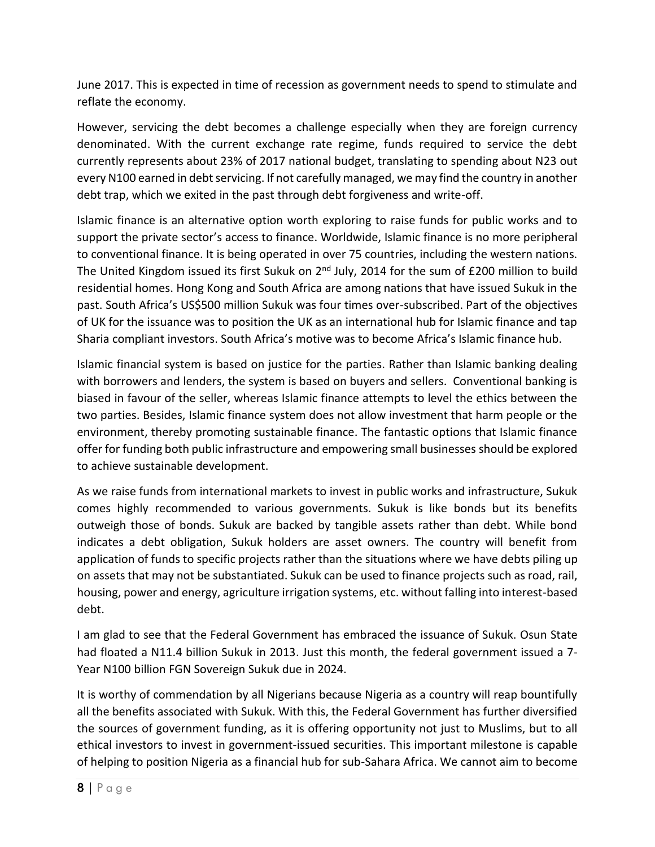June 2017. This is expected in time of recession as government needs to spend to stimulate and reflate the economy.

However, servicing the debt becomes a challenge especially when they are foreign currency denominated. With the current exchange rate regime, funds required to service the debt currently represents about 23% of 2017 national budget, translating to spending about N23 out every N100 earned in debt servicing. If not carefully managed, we may find the country in another debt trap, which we exited in the past through debt forgiveness and write-off.

Islamic finance is an alternative option worth exploring to raise funds for public works and to support the private sector's access to finance. Worldwide, Islamic finance is no more peripheral to conventional finance. It is being operated in over 75 countries, including the western nations. The United Kingdom issued its first Sukuk on 2<sup>nd</sup> July, 2014 for the sum of £200 million to build residential homes. Hong Kong and South Africa are among nations that have issued Sukuk in the past. South Africa's US\$500 million Sukuk was four times over-subscribed. Part of the objectives of UK for the issuance was to position the UK as an international hub for Islamic finance and tap Sharia compliant investors. South Africa's motive was to become Africa's Islamic finance hub.

Islamic financial system is based on justice for the parties. Rather than Islamic banking dealing with borrowers and lenders, the system is based on buyers and sellers. Conventional banking is biased in favour of the seller, whereas Islamic finance attempts to level the ethics between the two parties. Besides, Islamic finance system does not allow investment that harm people or the environment, thereby promoting sustainable finance. The fantastic options that Islamic finance offer for funding both public infrastructure and empowering small businesses should be explored to achieve sustainable development.

As we raise funds from international markets to invest in public works and infrastructure, Sukuk comes highly recommended to various governments. Sukuk is like bonds but its benefits outweigh those of bonds. Sukuk are backed by tangible assets rather than debt. While bond indicates a debt obligation, Sukuk holders are asset owners. The country will benefit from application of funds to specific projects rather than the situations where we have debts piling up on assets that may not be substantiated. Sukuk can be used to finance projects such as road, rail, housing, power and energy, agriculture irrigation systems, etc. without falling into interest-based debt.

I am glad to see that the Federal Government has embraced the issuance of Sukuk. Osun State had floated a N11.4 billion Sukuk in 2013. Just this month, the federal government issued a 7- Year N100 billion FGN Sovereign Sukuk due in 2024.

It is worthy of commendation by all Nigerians because Nigeria as a country will reap bountifully all the benefits associated with Sukuk. With this, the Federal Government has further diversified the sources of government funding, as it is offering opportunity not just to Muslims, but to all ethical investors to invest in government-issued securities. This important milestone is capable of helping to position Nigeria as a financial hub for sub-Sahara Africa. We cannot aim to become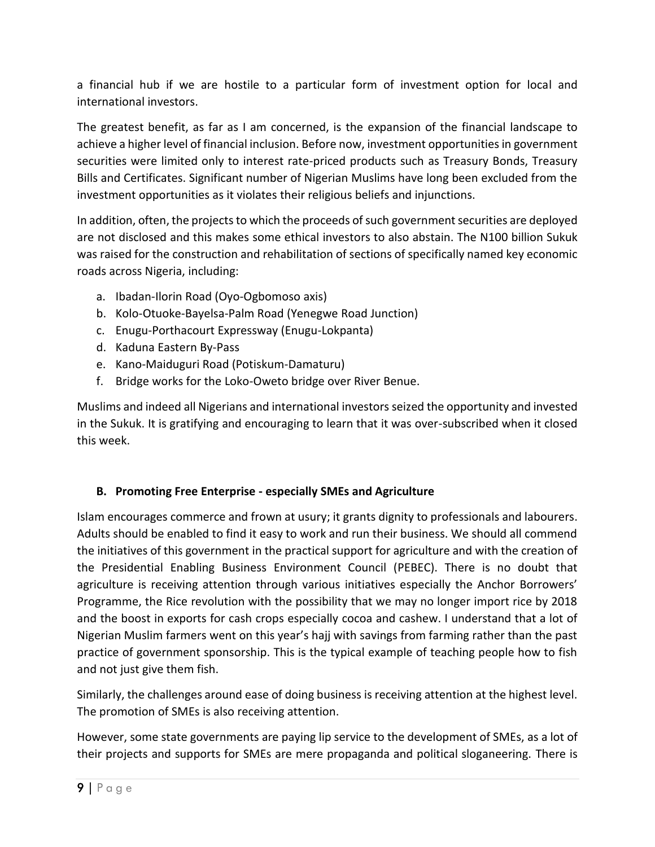a financial hub if we are hostile to a particular form of investment option for local and international investors.

The greatest benefit, as far as I am concerned, is the expansion of the financial landscape to achieve a higher level of financial inclusion. Before now, investment opportunities in government securities were limited only to interest rate-priced products such as Treasury Bonds, Treasury Bills and Certificates. Significant number of Nigerian Muslims have long been excluded from the investment opportunities as it violates their religious beliefs and injunctions.

In addition, often, the projects to which the proceeds of such government securities are deployed are not disclosed and this makes some ethical investors to also abstain. The N100 billion Sukuk was raised for the construction and rehabilitation of sections of specifically named key economic roads across Nigeria, including:

- a. Ibadan-Ilorin Road (Oyo-Ogbomoso axis)
- b. Kolo-Otuoke-Bayelsa-Palm Road (Yenegwe Road Junction)
- c. Enugu-Porthacourt Expressway (Enugu-Lokpanta)
- d. Kaduna Eastern By-Pass
- e. Kano-Maiduguri Road (Potiskum-Damaturu)
- f. Bridge works for the Loko-Oweto bridge over River Benue.

Muslims and indeed all Nigerians and international investorsseized the opportunity and invested in the Sukuk. It is gratifying and encouraging to learn that it was over-subscribed when it closed this week.

## **B. Promoting Free Enterprise - especially SMEs and Agriculture**

Islam encourages commerce and frown at usury; it grants dignity to professionals and labourers. Adults should be enabled to find it easy to work and run their business. We should all commend the initiatives of this government in the practical support for agriculture and with the creation of the Presidential Enabling Business Environment Council (PEBEC). There is no doubt that agriculture is receiving attention through various initiatives especially the Anchor Borrowers' Programme, the Rice revolution with the possibility that we may no longer import rice by 2018 and the boost in exports for cash crops especially cocoa and cashew. I understand that a lot of Nigerian Muslim farmers went on this year's hajj with savings from farming rather than the past practice of government sponsorship. This is the typical example of teaching people how to fish and not just give them fish.

Similarly, the challenges around ease of doing business is receiving attention at the highest level. The promotion of SMEs is also receiving attention.

However, some state governments are paying lip service to the development of SMEs, as a lot of their projects and supports for SMEs are mere propaganda and political sloganeering. There is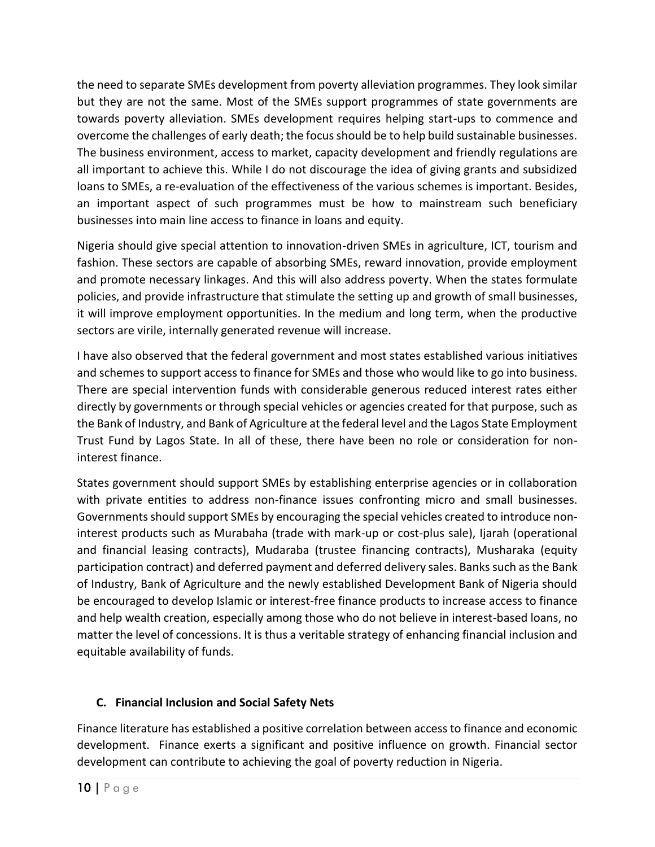the need to separate SMEs development from poverty alleviation programmes. They look similar but they are not the same. Most of the SMEs support programmes of state governments are towards poverty alleviation. SMEs development requires helping start-ups to commence and overcome the challenges of early death; the focus should be to help build sustainable businesses. The business environment, access to market, capacity development and friendly regulations are all important to achieve this. While I do not discourage the idea of giving grants and subsidized loans to SMEs, a re-evaluation of the effectiveness of the various schemes is important. Besides, an important aspect of such programmes must be how to mainstream such beneficiary businesses into main line access to finance in loans and equity.

Nigeria should give special attention to innovation-driven SMEs in agriculture, ICT, tourism and fashion. These sectors are capable of absorbing SMEs, reward innovation, provide employment and promote necessary linkages. And this will also address poverty. When the states formulate policies, and provide infrastructure that stimulate the setting up and growth of small businesses, it will improve employment opportunities. In the medium and long term, when the productive sectors are virile, internally generated revenue will increase.

I have also observed that the federal government and most states established various initiatives and schemes to support access to finance for SMEs and those who would like to go into business. There are special intervention funds with considerable generous reduced interest rates either directly by governments or through special vehicles or agencies created for that purpose, such as the Bank of Industry, and Bank of Agriculture at the federal level and the Lagos State Employment Trust Fund by Lagos State. In all of these, there have been no role or consideration for noninterest finance.

States government should support SMEs by establishing enterprise agencies or in collaboration with private entities to address non-finance issues confronting micro and small businesses. Governments should support SMEs by encouraging the special vehicles created to introduce noninterest products such as Murabaha (trade with mark-up or cost-plus sale), Ijarah (operational and financial leasing contracts), Mudaraba (trustee financing contracts), Musharaka (equity participation contract) and deferred payment and deferred delivery sales. Banks such as the Bank of Industry, Bank of Agriculture and the newly established Development Bank of Nigeria should be encouraged to develop Islamic or interest-free finance products to increase access to finance and help wealth creation, especially among those who do not believe in interest-based loans, no matter the level of concessions. It is thus a veritable strategy of enhancing financial inclusion and equitable availability of funds.

# **C. Financial Inclusion and Social Safety Nets**

Finance literature has established a positive correlation between access to finance and economic development. Finance exerts a significant and positive influence on growth. Financial sector development can contribute to achieving the goal of poverty reduction in Nigeria.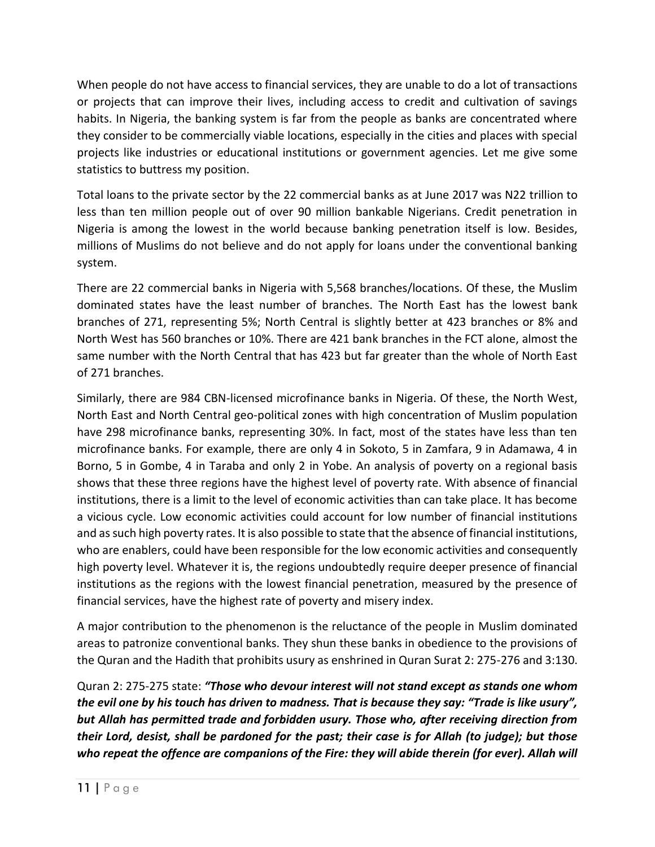When people do not have access to financial services, they are unable to do a lot of transactions or projects that can improve their lives, including access to credit and cultivation of savings habits. In Nigeria, the banking system is far from the people as banks are concentrated where they consider to be commercially viable locations, especially in the cities and places with special projects like industries or educational institutions or government agencies. Let me give some statistics to buttress my position.

Total loans to the private sector by the 22 commercial banks as at June 2017 was N22 trillion to less than ten million people out of over 90 million bankable Nigerians. Credit penetration in Nigeria is among the lowest in the world because banking penetration itself is low. Besides, millions of Muslims do not believe and do not apply for loans under the conventional banking system.

There are 22 commercial banks in Nigeria with 5,568 branches/locations. Of these, the Muslim dominated states have the least number of branches. The North East has the lowest bank branches of 271, representing 5%; North Central is slightly better at 423 branches or 8% and North West has 560 branches or 10%. There are 421 bank branches in the FCT alone, almost the same number with the North Central that has 423 but far greater than the whole of North East of 271 branches.

Similarly, there are 984 CBN-licensed microfinance banks in Nigeria. Of these, the North West, North East and North Central geo-political zones with high concentration of Muslim population have 298 microfinance banks, representing 30%. In fact, most of the states have less than ten microfinance banks. For example, there are only 4 in Sokoto, 5 in Zamfara, 9 in Adamawa, 4 in Borno, 5 in Gombe, 4 in Taraba and only 2 in Yobe. An analysis of poverty on a regional basis shows that these three regions have the highest level of poverty rate. With absence of financial institutions, there is a limit to the level of economic activities than can take place. It has become a vicious cycle. Low economic activities could account for low number of financial institutions and as such high poverty rates. It is also possible to state that the absence of financial institutions, who are enablers, could have been responsible for the low economic activities and consequently high poverty level. Whatever it is, the regions undoubtedly require deeper presence of financial institutions as the regions with the lowest financial penetration, measured by the presence of financial services, have the highest rate of poverty and misery index.

A major contribution to the phenomenon is the reluctance of the people in Muslim dominated areas to patronize conventional banks. They shun these banks in obedience to the provisions of the Quran and the Hadith that prohibits usury as enshrined in Quran Surat 2: 275-276 and 3:130.

Quran 2: 275-275 state: *"Those who devour interest will not stand except as stands one whom the evil one by his touch has driven to madness. That is because they say: "Trade is like usury", but Allah has permitted trade and forbidden usury. Those who, after receiving direction from their Lord, desist, shall be pardoned for the past; their case is for Allah (to judge); but those*  who repeat the offence are companions of the Fire: they will abide therein (for ever). Allah will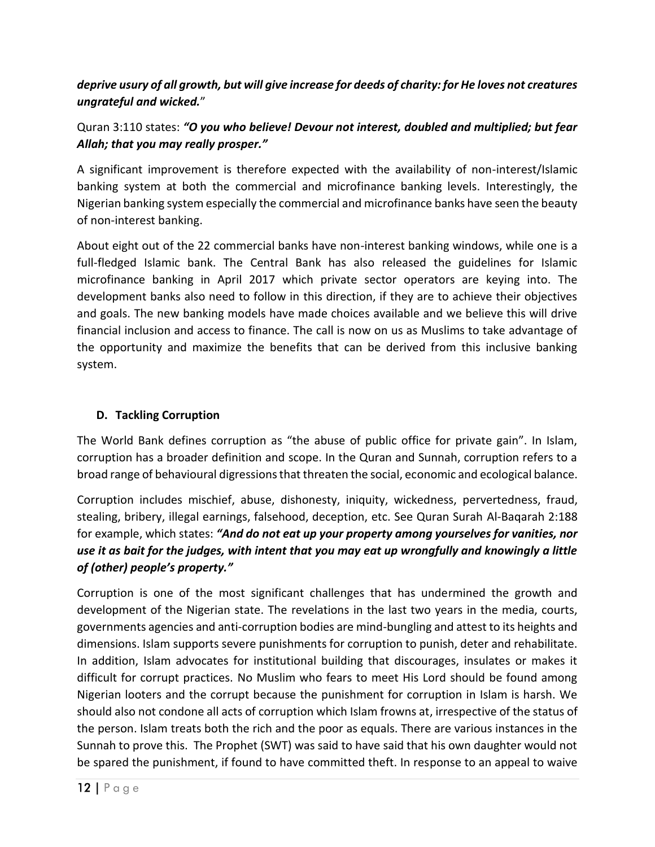# *deprive usury of all growth, but will give increase for deeds of charity: for He loves not creatures ungrateful and wicked.*"

# Quran 3:110 states: *"O you who believe! Devour not interest, doubled and multiplied; but fear Allah; that you may really prosper."*

A significant improvement is therefore expected with the availability of non-interest/Islamic banking system at both the commercial and microfinance banking levels. Interestingly, the Nigerian banking system especially the commercial and microfinance banks have seen the beauty of non-interest banking.

About eight out of the 22 commercial banks have non-interest banking windows, while one is a full-fledged Islamic bank. The Central Bank has also released the guidelines for Islamic microfinance banking in April 2017 which private sector operators are keying into. The development banks also need to follow in this direction, if they are to achieve their objectives and goals. The new banking models have made choices available and we believe this will drive financial inclusion and access to finance. The call is now on us as Muslims to take advantage of the opportunity and maximize the benefits that can be derived from this inclusive banking system.

## **D. Tackling Corruption**

The World Bank defines corruption as "the abuse of public office for private gain". In Islam, corruption has a broader definition and scope. In the Quran and Sunnah, corruption refers to a broad range of behavioural digressions that threaten the social, economic and ecological balance.

Corruption includes mischief, abuse, dishonesty, iniquity, wickedness, pervertedness, fraud, stealing, bribery, illegal earnings, falsehood, deception, etc. See Quran Surah Al-Baqarah 2:188 for example, which states: *"And do not eat up your property among yourselves for vanities, nor use it as bait for the judges, with intent that you may eat up wrongfully and knowingly a little of (other) people's property."*

Corruption is one of the most significant challenges that has undermined the growth and development of the Nigerian state. The revelations in the last two years in the media, courts, governments agencies and anti-corruption bodies are mind-bungling and attest to its heights and dimensions. Islam supports severe punishments for corruption to punish, deter and rehabilitate. In addition, Islam advocates for institutional building that discourages, insulates or makes it difficult for corrupt practices. No Muslim who fears to meet His Lord should be found among Nigerian looters and the corrupt because the punishment for corruption in Islam is harsh. We should also not condone all acts of corruption which Islam frowns at, irrespective of the status of the person. Islam treats both the rich and the poor as equals. There are various instances in the Sunnah to prove this. The Prophet (SWT) was said to have said that his own daughter would not be spared the punishment, if found to have committed theft. In response to an appeal to waive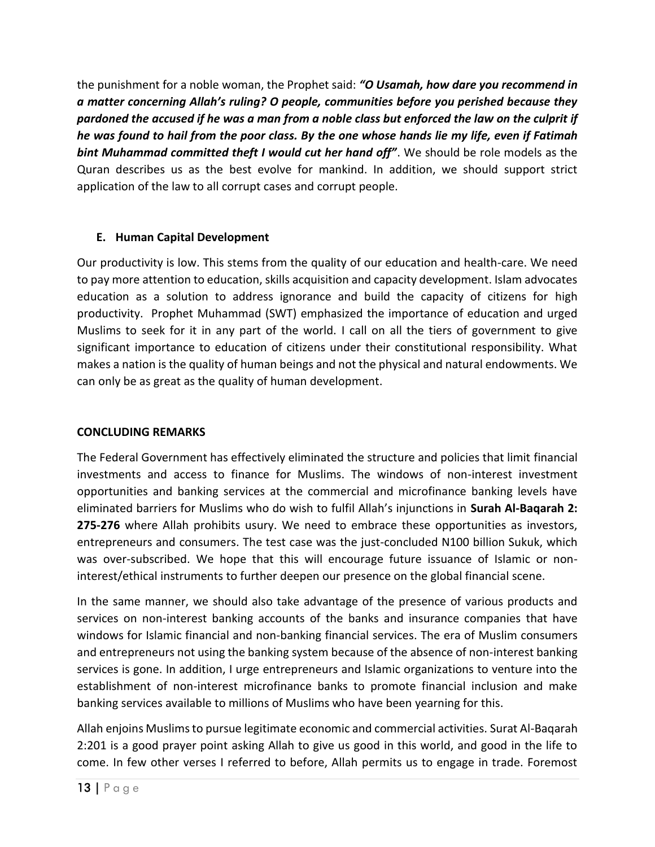the punishment for a noble woman, the Prophet said: *"O Usamah, how dare you recommend in a matter concerning Allah's ruling? O people, communities before you perished because they pardoned the accused if he was a man from a noble class but enforced the law on the culprit if he was found to hail from the poor class. By the one whose hands lie my life, even if Fatimah bint Muhammad committed theft I would cut her hand off"*. We should be role models as the Quran describes us as the best evolve for mankind. In addition, we should support strict application of the law to all corrupt cases and corrupt people.

### **E. Human Capital Development**

Our productivity is low. This stems from the quality of our education and health-care. We need to pay more attention to education, skills acquisition and capacity development. Islam advocates education as a solution to address ignorance and build the capacity of citizens for high productivity. Prophet Muhammad (SWT) emphasized the importance of education and urged Muslims to seek for it in any part of the world. I call on all the tiers of government to give significant importance to education of citizens under their constitutional responsibility. What makes a nation is the quality of human beings and not the physical and natural endowments. We can only be as great as the quality of human development.

#### **CONCLUDING REMARKS**

The Federal Government has effectively eliminated the structure and policies that limit financial investments and access to finance for Muslims. The windows of non-interest investment opportunities and banking services at the commercial and microfinance banking levels have eliminated barriers for Muslims who do wish to fulfil Allah's injunctions in **Surah Al-Baqarah 2: 275-276** where Allah prohibits usury. We need to embrace these opportunities as investors, entrepreneurs and consumers. The test case was the just-concluded N100 billion Sukuk, which was over-subscribed. We hope that this will encourage future issuance of Islamic or noninterest/ethical instruments to further deepen our presence on the global financial scene.

In the same manner, we should also take advantage of the presence of various products and services on non-interest banking accounts of the banks and insurance companies that have windows for Islamic financial and non-banking financial services. The era of Muslim consumers and entrepreneurs not using the banking system because of the absence of non-interest banking services is gone. In addition, I urge entrepreneurs and Islamic organizations to venture into the establishment of non-interest microfinance banks to promote financial inclusion and make banking services available to millions of Muslims who have been yearning for this.

Allah enjoins Muslims to pursue legitimate economic and commercial activities. Surat Al-Baqarah 2:201 is a good prayer point asking Allah to give us good in this world, and good in the life to come. In few other verses I referred to before, Allah permits us to engage in trade. Foremost